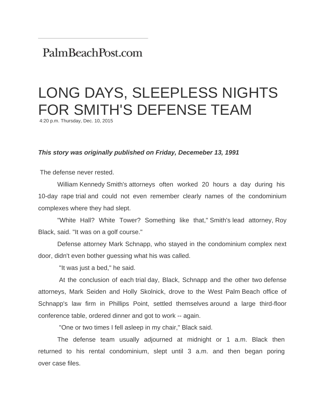## PalmBeachPost.com

## LONG DAYS, SLEEPLESS NIGHTS FOR SMITH'S DEFENSE TEAM

4:20 p.m. Thursday, Dec. 10, 2015

## *This story was originally published on Friday, Decemeber 13, 1991*

The defense never rested.

 William Kennedy Smith's attorneys often worked 20 hours a day during his 10-day rape trial and could not even remember clearly names of the condominium complexes where they had slept.

 "White Hall? White Tower? Something like that," Smith's lead attorney, Roy Black, said. "It was on a golf course."

 Defense attorney Mark Schnapp, who stayed in the condominium complex next door, didn't even bother guessing what his was called.

"It was just a bed," he said.

 At the conclusion of each trial day, Black, Schnapp and the other two defense attorneys, Mark Seiden and Holly Skolnick, drove to the West Palm Beach office of Schnapp's law firm in Phillips Point, settled themselves around a large third-floor conference table, ordered dinner and got to work -- again.

"One or two times I fell asleep in my chair," Black said.

 The defense team usually adjourned at midnight or 1 a.m. Black then returned to his rental condominium, slept until 3 a.m. and then began poring over case files.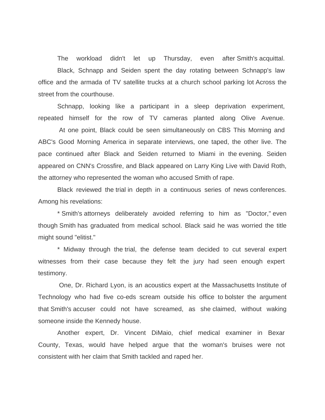The workload didn't let up Thursday, even after Smith's acquittal. Black, Schnapp and Seiden spent the day rotating between Schnapp's law office and the armada of TV satellite trucks at a church school parking lot Across the street from the courthouse.

 Schnapp, looking like a participant in a sleep deprivation experiment, repeated himself for the row of TV cameras planted along Olive Avenue.

 At one point, Black could be seen simultaneously on CBS This Morning and ABC's Good Morning America in separate interviews, one taped, the other live. The pace continued after Black and Seiden returned to Miami in the evening. Seiden appeared on CNN's Crossfire, and Black appeared on Larry King Live with David Roth, the attorney who represented the woman who accused Smith of rape.

 Black reviewed the trial in depth in a continuous series of news conferences. Among his revelations:

 \* Smith's attorneys deliberately avoided referring to him as "Doctor," even though Smith has graduated from medical school. Black said he was worried the title might sound "elitist."

 \* Midway through the trial, the defense team decided to cut several expert witnesses from their case because they felt the jury had seen enough expert testimony.

 One, Dr. Richard Lyon, is an acoustics expert at the Massachusetts Institute of Technology who had five co-eds scream outside his office to bolster the argument that Smith's accuser could not have screamed, as she claimed, without waking someone inside the Kennedy house.

 Another expert, Dr. Vincent DiMaio, chief medical examiner in Bexar County, Texas, would have helped argue that the woman's bruises were not consistent with her claim that Smith tackled and raped her.